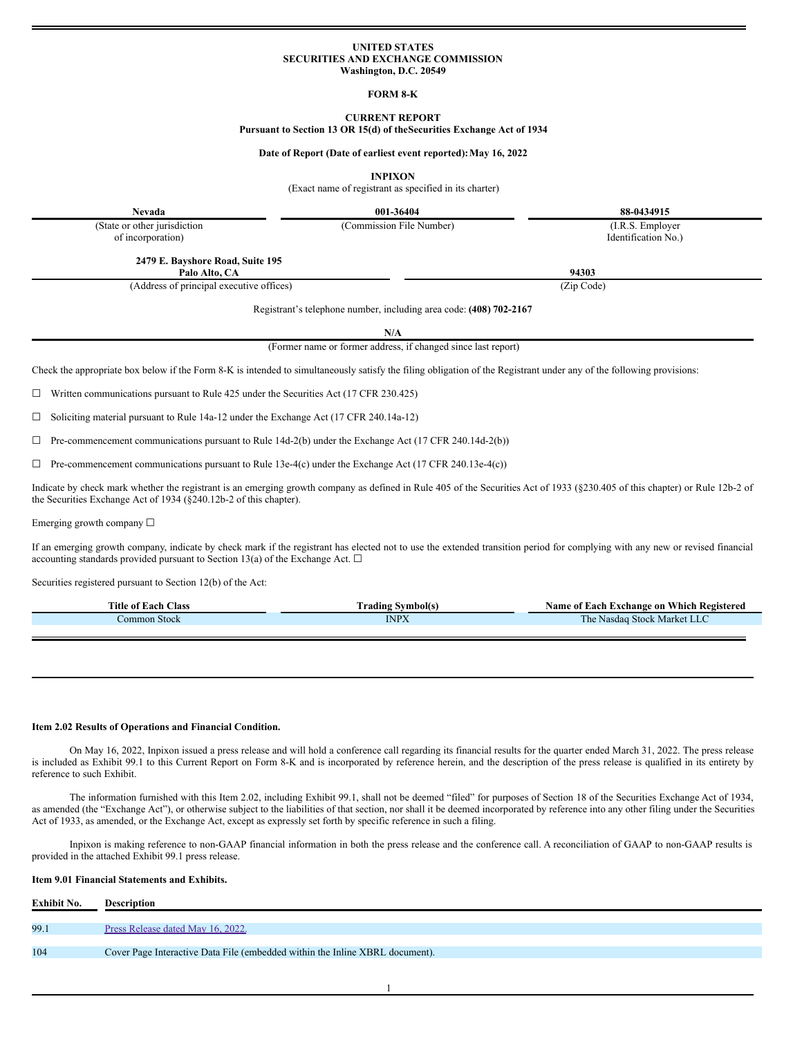### **UNITED STATES SECURITIES AND EXCHANGE COMMISSION Washington, D.C. 20549**

## **FORM 8-K**

# **CURRENT REPORT**

**Pursuant to Section 13 OR 15(d) of theSecurities Exchange Act of 1934**

**Date of Report (Date of earliest event reported):May 16, 2022**

**INPIXON**

(Exact name of registrant as specified in its charter)

**Nevada 001-36404 88-0434915**

(Commission File Number) (I.R.S. Employer

(State or other jurisdiction of incorporation)

Identification No.)

**2479 E. Bayshore Road, Suite 195 Palo Alto, CA 94303**

(Address of principal executive offices) (Zip Code)

Registrant's telephone number, including area code: **(408) 702-2167**

**N/A**

(Former name or former address, if changed since last report)

Check the appropriate box below if the Form 8-K is intended to simultaneously satisfy the filing obligation of the Registrant under any of the following provisions:

 $\Box$  Written communications pursuant to Rule 425 under the Securities Act (17 CFR 230.425)

☐ Soliciting material pursuant to Rule 14a-12 under the Exchange Act (17 CFR 240.14a-12)

 $\Box$  Pre-commencement communications pursuant to Rule 14d-2(b) under the Exchange Act (17 CFR 240.14d-2(b))

 $\Box$  Pre-commencement communications pursuant to Rule 13e-4(c) under the Exchange Act (17 CFR 240.13e-4(c))

Indicate by check mark whether the registrant is an emerging growth company as defined in Rule 405 of the Securities Act of 1933 (§230.405 of this chapter) or Rule 12b-2 of the Securities Exchange Act of 1934 (§240.12b-2 of this chapter).

Emerging growth company  $\Box$ 

If an emerging growth company, indicate by check mark if the registrant has elected not to use the extended transition period for complying with any new or revised financial accounting standards provided pursuant to Section 13(a) of the Exchange Act.  $\Box$ 

Securities registered pursuant to Section 12(b) of the Act:

| <b>Title</b><br>Aas (<br>01<br>ഹ                                                                                                                 | vmbolts<br>`radın2                                 | v hich -<br>$\sum$<br>Registerea<br>$\triangle$ ac<br>™change on                                                                                        |
|--------------------------------------------------------------------------------------------------------------------------------------------------|----------------------------------------------------|---------------------------------------------------------------------------------------------------------------------------------------------------------|
| Stock<br>ommo<br>$\mathcal{L}^{\text{max}}_{\text{max}}$ and $\mathcal{L}^{\text{max}}_{\text{max}}$ and $\mathcal{L}^{\text{max}}_{\text{max}}$ | <b>INDV</b><br>the contract of the contract of the | stock<br>$\sim$ Market<br>Nasdad<br>.<br>and the state of the state of the state of the state of the state of the state of the state of the state of th |

### **Item 2.02 Results of Operations and Financial Condition.**

On May 16, 2022, Inpixon issued a press release and will hold a conference call regarding its financial results for the quarter ended March 31, 2022. The press release is included as Exhibit 99.1 to this Current Report on Form 8-K and is incorporated by reference herein, and the description of the press release is qualified in its entirety by reference to such Exhibit.

The information furnished with this Item 2.02, including Exhibit 99.1, shall not be deemed "filed" for purposes of Section 18 of the Securities Exchange Act of 1934, as amended (the "Exchange Act"), or otherwise subject to the liabilities of that section, nor shall it be deemed incorporated by reference into any other filing under the Securities Act of 1933, as amended, or the Exchange Act, except as expressly set forth by specific reference in such a filing.

Inpixon is making reference to non-GAAP financial information in both the press release and the conference call. A reconciliation of GAAP to non-GAAP results is provided in the attached Exhibit 99.1 press release.

### **Item 9.01 Financial Statements and Exhibits.**

| Exhibit No. | <b>Description</b>                                                           |
|-------------|------------------------------------------------------------------------------|
|             |                                                                              |
| 99.1        | Press Release dated May 16, 2022.                                            |
|             |                                                                              |
| 104         | Cover Page Interactive Data File (embedded within the Inline XBRL document). |
|             |                                                                              |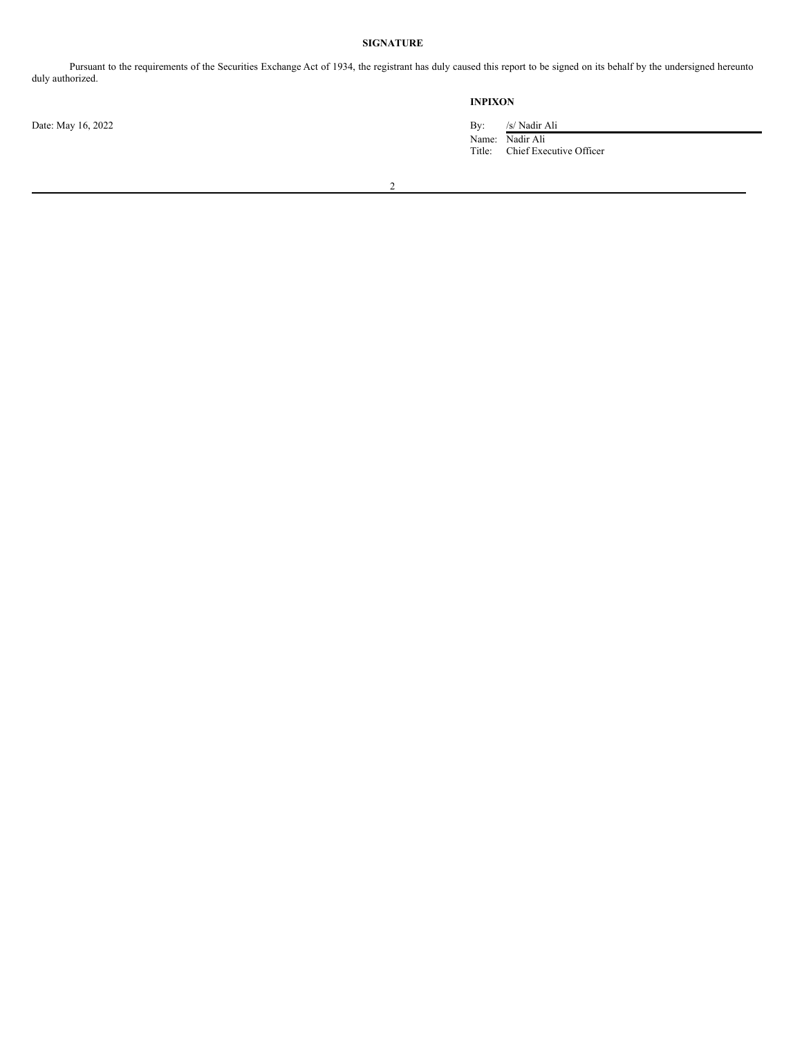# **SIGNATURE**

Pursuant to the requirements of the Securities Exchange Act of 1934, the registrant has duly caused this report to be signed on its behalf by the undersigned hereunto duly authorized.

# **INPIXON**

Name: Nadir Ali Title: Chief Executive Officer

Date: May 16, 2022 By: /s/ Nadir Ali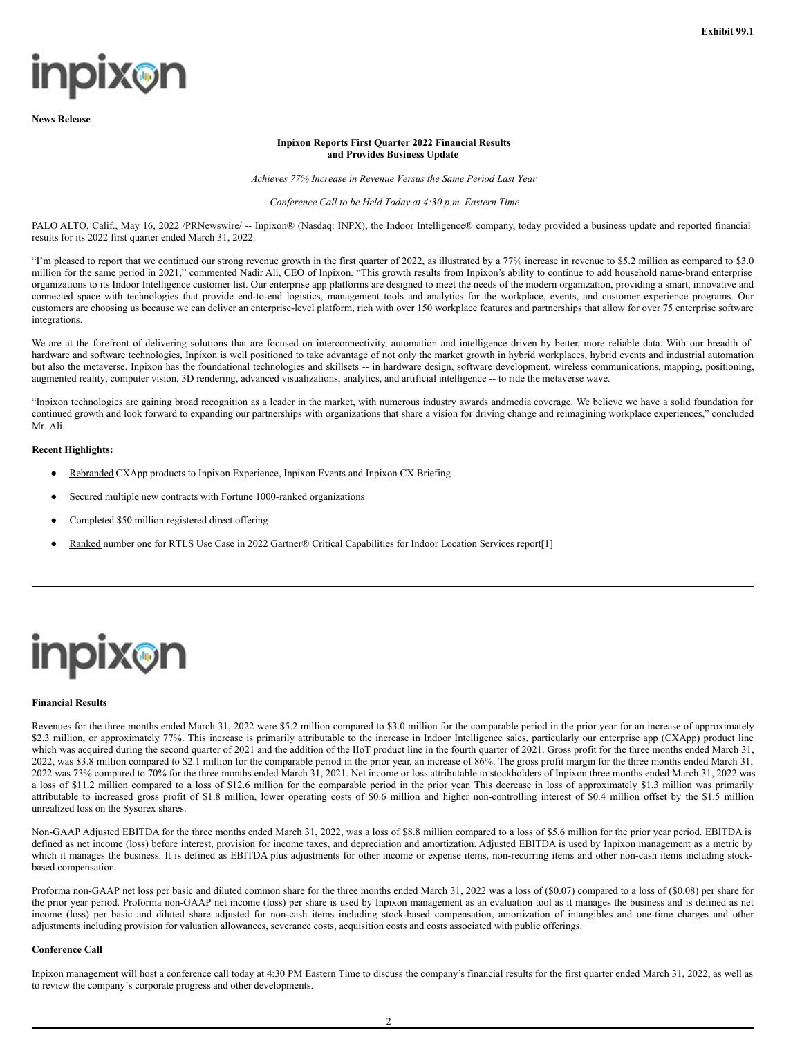# **inpix@n**

**News Release**

# **Inpixon Reports First Quarter 2022 Financial Results and Provides Business Update**

*Achieves 77% Increase in Revenue Versus the Same Period Last Year*

### *Conference Call to be Held Today at 4:30 p.m. Eastern Time*

PALO ALTO, Calif., May 16, 2022 /PRNewswire/ -- Inpixon® (Nasdaq: INPX), the Indoor Intelligence® company, today provided a business update and reported financial results for its 2022 first quarter ended March 31, 2022.

"I'm pleased to report that we continued our strong revenue growth in the first quarter of 2022, as illustrated by a 77% increase in revenue to \$5.2 million as compared to \$3.0 million for the same period in 2021," commented Nadir Ali, CEO of Inpixon. "This growth results from Inpixon's ability to continue to add household name-brand enterprise organizations to its Indoor Intelligence customer list. Our enterprise app platforms are designed to meet the needs of the modern organization, providing a smart, innovative and connected space with technologies that provide end-to-end logistics, management tools and analytics for the workplace, events, and customer experience programs. Our customers are choosing us because we can deliver an enterprise-level platform, rich with over 150 workplace features and partnerships that allow for over 75 enterprise software integrations.

We are at the forefront of delivering solutions that are focused on interconnectivity, automation and intelligence driven by better, more reliable data. With our breadth of hardware and software technologies, Inpixon is well positioned to take advantage of not only the market growth in hybrid workplaces, hybrid events and industrial automation but also the metaverse. Inpixon has the foundational technologies and skillsets -- in hardware design, software development, wireless communications, mapping, positioning, augmented reality, computer vision, 3D rendering, advanced visualizations, analytics, and artificial intelligence -- to ride the metaverse wave.

"Inpixon technologies are gaining broad recognition as a leader in the market, with numerous industry awards andmedia coverage. We believe we have a solid foundation for continued growth and look forward to expanding our partnerships with organizations that share a vision for driving change and reimagining workplace experiences," concluded Mr. Ali.

# **Recent Highlights:**

- Rebranded CXApp products to Inpixon Experience, Inpixon Events and Inpixon CX Briefing
- Secured multiple new contracts with Fortune 1000-ranked organizations
- Completed \$50 million registered direct offering
- Ranked number one for RTLS Use Case in 2022 Gartner® Critical Capabilities for Indoor Location Services report[1]



### **Financial Results**

Revenues for the three months ended March 31, 2022 were \$5.2 million compared to \$3.0 million for the comparable period in the prior year for an increase of approximately \$2.3 million, or approximately 77%. This increase is primarily attributable to the increase in Indoor Intelligence sales, particularly our enterprise app (CXApp) product line which was acquired during the second quarter of 2021 and the addition of the IIoT product line in the fourth quarter of 2021. Gross profit for the three months ended March 31, 2022, was \$3.8 million compared to \$2.1 million for the comparable period in the prior year, an increase of 86%. The gross profit margin for the three months ended March 31, 2022 was 73% compared to 70% for the three months ended March 31, 2021. Net income or loss attributable to stockholders of Inpixon three months ended March 31, 2022 was a loss of \$11.2 million compared to a loss of \$12.6 million for the comparable period in the prior year. This decrease in loss of approximately \$1.3 million was primarily attributable to increased gross profit of \$1.8 million, lower operating costs of \$0.6 million and higher non-controlling interest of \$0.4 million offset by the \$1.5 million unrealized loss on the Sysorex shares.

Non-GAAP Adjusted EBITDA for the three months ended March 31, 2022, was a loss of \$8.8 million compared to a loss of \$5.6 million for the prior year period. EBITDA is defined as net income (loss) before interest, provision for income taxes, and depreciation and amortization. Adjusted EBITDA is used by Inpixon management as a metric by which it manages the business. It is defined as EBITDA plus adjustments for other income or expense items, non-recurring items and other non-cash items including stockbased compensation.

Proforma non-GAAP net loss per basic and diluted common share for the three months ended March 31, 2022 was a loss of (\$0.07) compared to a loss of (\$0.08) per share for the prior year period. Proforma non-GAAP net income (loss) per share is used by Inpixon management as an evaluation tool as it manages the business and is defined as net income (loss) per basic and diluted share adjusted for non-cash items including stock-based compensation, amortization of intangibles and one-time charges and other adjustments including provision for valuation allowances, severance costs, acquisition costs and costs associated with public offerings.

## **Conference Call**

Inpixon management will host a conference call today at 4:30 PM Eastern Time to discuss the company's financial results for the first quarter ended March 31, 2022, as well as to review the company's corporate progress and other developments.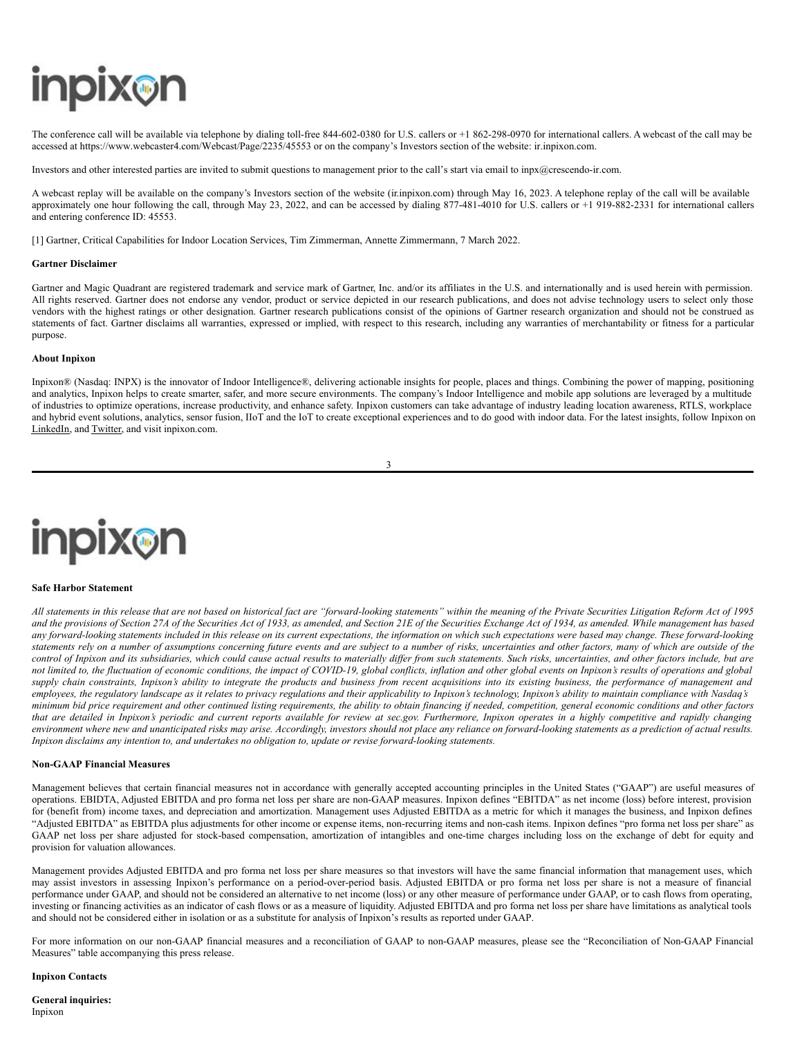# **inpix@n**

The conference call will be available via telephone by dialing toll-free 844-602-0380 for U.S. callers or +1 862-298-0970 for international callers. A webcast of the call may be accessed at https://www.webcaster4.com/Webcast/Page/2235/45553 or on the company's Investors section of the website: ir.inpixon.com.

Investors and other interested parties are invited to submit questions to management prior to the call's start via email to inpx@crescendo-ir.com.

A webcast replay will be available on the company's Investors section of the website (ir.inpixon.com) through May 16, 2023. A telephone replay of the call will be available approximately one hour following the call, through May 23, 2022, and can be accessed by dialing 877-481-4010 for U.S. callers or +1 919-882-2331 for international callers and entering conference ID: 45553.

[1] Gartner, Critical Capabilities for Indoor Location Services, Tim Zimmerman, Annette Zimmermann, 7 March 2022.

### **Gartner Disclaimer**

Gartner and Magic Quadrant are registered trademark and service mark of Gartner, Inc. and/or its affiliates in the U.S. and internationally and is used herein with permission. All rights reserved. Gartner does not endorse any vendor, product or service depicted in our research publications, and does not advise technology users to select only those vendors with the highest ratings or other designation. Gartner research publications consist of the opinions of Gartner research organization and should not be construed as statements of fact. Gartner disclaims all warranties, expressed or implied, with respect to this research, including any warranties of merchantability or fitness for a particular purpose.

#### **About Inpixon**

Inpixon® (Nasdaq: INPX) is the innovator of Indoor Intelligence®, delivering actionable insights for people, places and things. Combining the power of mapping, positioning and analytics, Inpixon helps to create smarter, safer, and more secure environments. The company's Indoor Intelligence and mobile app solutions are leveraged by a multitude of industries to optimize operations, increase productivity, and enhance safety. Inpixon customers can take advantage of industry leading location awareness, RTLS, workplace and hybrid event solutions, analytics, sensor fusion, IIoT and the IoT to create exceptional experiences and to do good with indoor data. For the latest insights, follow Inpixon on LinkedIn, and Twitter, and visit inpixon.com.

3



#### **Safe Harbor Statement**

All statements in this release that are not based on historical fact are "forward-looking statements" within the meaning of the Private Securities Litigation Reform Act of 1995 and the provisions of Section 27A of the Securities Act of 1933, as amended, and Section 21E of the Securities Exchange Act of 1934, as amended. While management has based any forward-looking statements included in this release on its current expectations, the information on which such expectations were based may change. These forward-looking statements rely on a number of assumptions concerning future events and are subject to a number of risks, uncertainties and other factors, many of which are outside of the control of Inpixon and its subsidiaries, which could cause actual results to materially differ from such statements. Such risks, uncertainties, and other factors include, but are not limited to, the fluctuation of economic conditions, the impact of COVID-19, global conflicts, inflation and other global events on Inpixon's results of operations and global supply chain constraints, Inpixon's ability to integrate the products and business from recent acquisitions into its existing business, the performance of management and employees, the regulatory landscape as it relates to privacy regulations and their applicability to Inpixon's technology, Inpixon's ability to maintain compliance with Nasdaq's minimum bid price requirement and other continued listing requirements, the ability to obtain financing if needed, competition, general economic conditions and other factors that are detailed in Inpixon's periodic and current reports available for review at sec.gov. Furthermore, Inpixon operates in a highly competitive and rapidly changing environment where new and unanticipated risks may arise. Accordingly, investors should not place any reliance on forward-looking statements as a prediction of actual results. *Inpixon disclaims any intention to, and undertakes no obligation to, update or revise forward-looking statements.*

#### **Non-GAAP Financial Measures**

Management believes that certain financial measures not in accordance with generally accepted accounting principles in the United States ("GAAP") are useful measures of operations. EBIDTA, Adjusted EBITDA and pro forma net loss per share are non-GAAP measures. Inpixon defines "EBITDA" as net income (loss) before interest, provision for (benefit from) income taxes, and depreciation and amortization. Management uses Adjusted EBITDA as a metric for which it manages the business, and Inpixon defines "Adjusted EBITDA" as EBITDA plus adjustments for other income or expense items, non-recurring items and non-cash items. Inpixon defines "pro forma net loss per share" as GAAP net loss per share adjusted for stock-based compensation, amortization of intangibles and one-time charges including loss on the exchange of debt for equity and provision for valuation allowances.

Management provides Adjusted EBITDA and pro forma net loss per share measures so that investors will have the same financial information that management uses, which may assist investors in assessing Inpixon's performance on a period-over-period basis. Adjusted EBITDA or pro forma net loss per share is not a measure of financial performance under GAAP, and should not be considered an alternative to net income (loss) or any other measure of performance under GAAP, or to cash flows from operating, investing or financing activities as an indicator of cash flows or as a measure of liquidity. Adjusted EBITDA and pro forma net loss per share have limitations as analytical tools and should not be considered either in isolation or as a substitute for analysis of Inpixon's results as reported under GAAP.

For more information on our non-GAAP financial measures and a reconciliation of GAAP to non-GAAP measures, please see the "Reconciliation of Non-GAAP Financial Measures" table accompanying this press release.

### **Inpixon Contacts**

**General inquiries:** Inpixon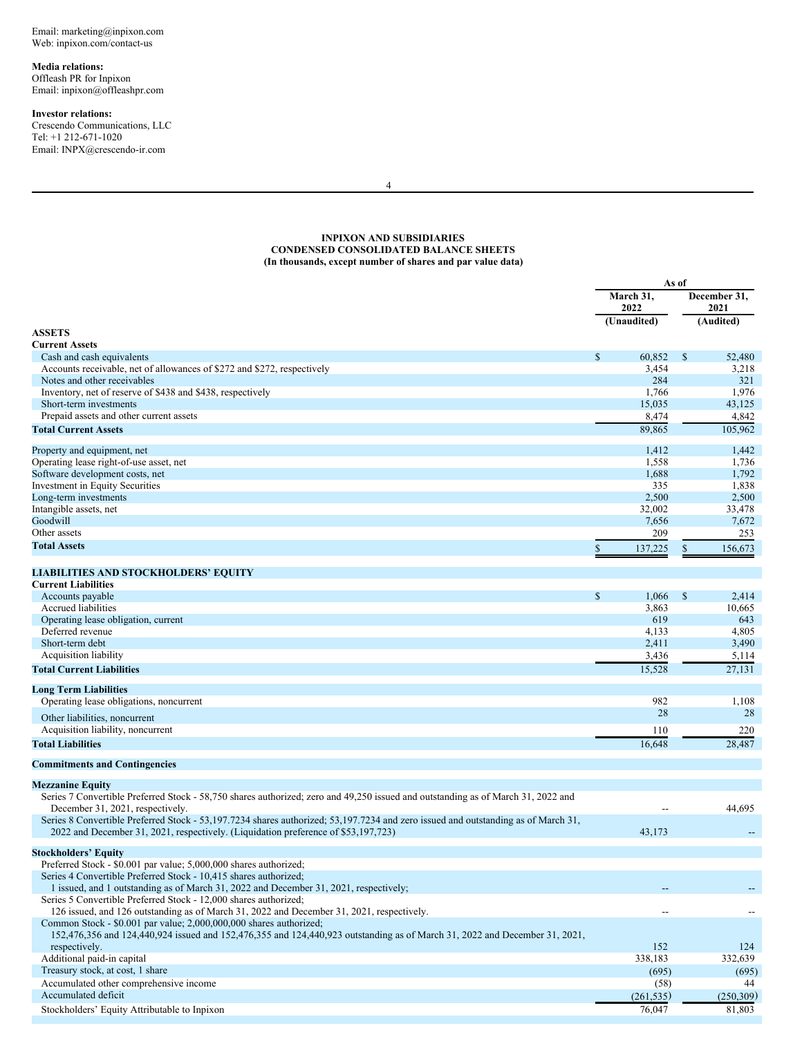<span id="page-4-0"></span>Email: marketing@inpixon.com Web: inpixon.com/contact-us

**Media relations:**

Offleash PR for Inpixon Email: inpixon@offleashpr.com

# **Investor relations:**

Crescendo Communications, LLC Tel: +1 212-671-1020 Email: INPX@crescendo-ir.com

4

# **INPIXON AND SUBSIDIARIES CONDENSED CONSOLIDATED BALANCE SHEETS (In thousands, except number of shares and par value data)**

|                                                                                                                                   |              | As of             |              |                      |  |
|-----------------------------------------------------------------------------------------------------------------------------------|--------------|-------------------|--------------|----------------------|--|
|                                                                                                                                   |              | March 31,<br>2022 |              | December 31,<br>2021 |  |
|                                                                                                                                   |              | (Unaudited)       |              | (Audited)            |  |
| <b>ASSETS</b>                                                                                                                     |              |                   |              |                      |  |
| <b>Current Assets</b>                                                                                                             |              |                   |              |                      |  |
| Cash and cash equivalents                                                                                                         | $\mathbb{S}$ | 60.852            | $\mathbb{S}$ | 52,480               |  |
| Accounts receivable, net of allowances of \$272 and \$272, respectively<br>Notes and other receivables                            |              | 3,454<br>284      |              | 3,218<br>321         |  |
| Inventory, net of reserve of \$438 and \$438, respectively                                                                        |              | 1,766             |              | 1,976                |  |
| Short-term investments                                                                                                            |              | 15,035            |              | 43,125               |  |
| Prepaid assets and other current assets                                                                                           |              | 8,474             |              | 4,842                |  |
| <b>Total Current Assets</b>                                                                                                       |              | 89,865            |              | 105,962              |  |
|                                                                                                                                   |              |                   |              |                      |  |
| Property and equipment, net                                                                                                       |              | 1,412             |              | 1,442                |  |
| Operating lease right-of-use asset, net                                                                                           |              | 1,558             |              | 1,736                |  |
| Software development costs, net                                                                                                   |              | 1,688             |              | 1,792                |  |
| Investment in Equity Securities                                                                                                   |              | 335               |              | 1,838                |  |
| Long-term investments                                                                                                             |              | 2,500             |              | 2,500                |  |
| Intangible assets, net                                                                                                            |              | 32,002            |              | 33,478               |  |
| Goodwill                                                                                                                          |              | 7,656             |              | 7,672                |  |
| Other assets                                                                                                                      |              | 209               |              | 253                  |  |
| <b>Total Assets</b>                                                                                                               | \$           | 137,225           | \$           | 156,673              |  |
|                                                                                                                                   |              |                   |              |                      |  |
| <b>LIABILITIES AND STOCKHOLDERS' EQUITY</b>                                                                                       |              |                   |              |                      |  |
| <b>Current Liabilities</b>                                                                                                        |              |                   |              |                      |  |
| Accounts payable<br><b>Accrued liabilities</b>                                                                                    | $\mathbb S$  | 1,066             | $\mathbb{S}$ | 2,414                |  |
|                                                                                                                                   |              | 3,863             |              | 10,665               |  |
| Operating lease obligation, current                                                                                               |              | 619               |              | 643                  |  |
| Deferred revenue<br>Short-term debt                                                                                               |              | 4,133             |              | 4,805                |  |
|                                                                                                                                   |              | 2,411             |              | 3,490                |  |
| Acquisition liability                                                                                                             |              | 3,436             |              | 5,114                |  |
| <b>Total Current Liabilities</b>                                                                                                  |              | 15,528            |              | 27,131               |  |
| <b>Long Term Liabilities</b>                                                                                                      |              |                   |              |                      |  |
| Operating lease obligations, noncurrent                                                                                           |              | 982               |              | 1,108                |  |
| Other liabilities, noncurrent                                                                                                     |              | 28                |              | 28                   |  |
| Acquisition liability, noncurrent                                                                                                 |              | 110               |              | 220                  |  |
| <b>Total Liabilities</b>                                                                                                          |              | 16,648            |              | 28,487               |  |
|                                                                                                                                   |              |                   |              |                      |  |
| <b>Commitments and Contingencies</b>                                                                                              |              |                   |              |                      |  |
| <b>Mezzanine Equity</b>                                                                                                           |              |                   |              |                      |  |
| Series 7 Convertible Preferred Stock - 58,750 shares authorized; zero and 49,250 issued and outstanding as of March 31, 2022 and  |              |                   |              |                      |  |
| December 31, 2021, respectively.                                                                                                  |              | Ξ.                |              | 44,695               |  |
| Series 8 Convertible Preferred Stock - 53,197.7234 shares authorized; 53,197.7234 and zero issued and outstanding as of March 31, |              |                   |              |                      |  |
| 2022 and December 31, 2021, respectively. (Liquidation preference of \$53,197,723)                                                |              | 43,173            |              |                      |  |
| <b>Stockholders' Equity</b>                                                                                                       |              |                   |              |                      |  |
| Preferred Stock - \$0.001 par value; 5,000,000 shares authorized;                                                                 |              |                   |              |                      |  |
| Series 4 Convertible Preferred Stock - 10,415 shares authorized;                                                                  |              |                   |              |                      |  |
| 1 issued, and 1 outstanding as of March 31, 2022 and December 31, 2021, respectively;                                             |              |                   |              |                      |  |
| Series 5 Convertible Preferred Stock - 12,000 shares authorized;                                                                  |              |                   |              |                      |  |
| 126 issued, and 126 outstanding as of March 31, 2022 and December 31, 2021, respectively.                                         |              |                   |              |                      |  |
| Common Stock - \$0.001 par value; 2,000,000,000 shares authorized;                                                                |              |                   |              |                      |  |
| 152,476,356 and 124,440,924 issued and 152,476,355 and 124,440,923 outstanding as of March 31, 2022 and December 31, 2021,        |              |                   |              |                      |  |
| respectively.                                                                                                                     |              | 152               |              | 124                  |  |
| Additional paid-in capital                                                                                                        |              | 338,183           |              | 332,639              |  |
| Treasury stock, at cost, 1 share                                                                                                  |              | (695)             |              | (695)                |  |
| Accumulated other comprehensive income                                                                                            |              | (58)              |              | 44                   |  |
| Accumulated deficit                                                                                                               |              | (261, 535)        |              | (250, 309)           |  |
| Stockholders' Equity Attributable to Inpixon                                                                                      |              | 76,047            |              | 81,803               |  |
|                                                                                                                                   |              |                   |              |                      |  |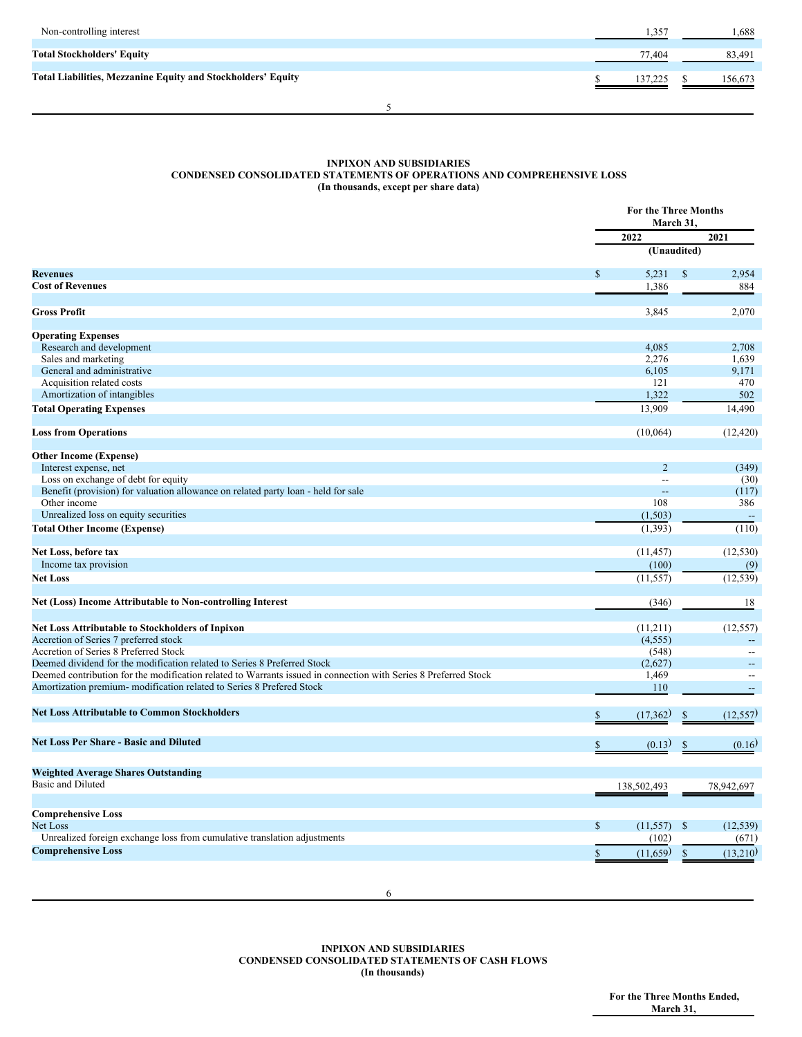| Non-controlling interest                                            | 1,357   | 1,688   |
|---------------------------------------------------------------------|---------|---------|
| <b>Total Stockholders' Equity</b>                                   | 77.404  | 83,491  |
| <b>Total Liabilities, Mezzanine Equity and Stockholders' Equity</b> | 137,225 | 156,673 |
|                                                                     |         |         |

## **INPIXON AND SUBSIDIARIES CONDENSED CONSOLIDATED STATEMENTS OF OPERATIONS AND COMPREHENSIVE LOSS (In thousands, except per share data)**

|                                                                                                                 |              | <b>For the Three Months</b><br>March 31. |               |                          |  |
|-----------------------------------------------------------------------------------------------------------------|--------------|------------------------------------------|---------------|--------------------------|--|
|                                                                                                                 |              | 2022                                     |               | 2021                     |  |
|                                                                                                                 |              | (Unaudited)                              |               |                          |  |
| <b>Revenues</b>                                                                                                 | $\mathbf S$  | 5,231                                    | $\mathbb{S}$  | 2,954                    |  |
| <b>Cost of Revenues</b>                                                                                         |              | 1,386                                    |               | 884                      |  |
| <b>Gross Profit</b>                                                                                             |              | 3,845                                    |               | 2,070                    |  |
| <b>Operating Expenses</b>                                                                                       |              |                                          |               |                          |  |
| Research and development                                                                                        |              | 4.085                                    |               | 2,708                    |  |
| Sales and marketing                                                                                             |              | 2,276                                    |               | 1,639                    |  |
| General and administrative                                                                                      |              | 6,105                                    |               | 9,171                    |  |
| Acquisition related costs                                                                                       |              | 121                                      |               | 470                      |  |
| Amortization of intangibles                                                                                     |              | 1,322                                    |               | 502                      |  |
| <b>Total Operating Expenses</b>                                                                                 |              | 13,909                                   |               | 14,490                   |  |
| <b>Loss from Operations</b>                                                                                     |              | (10,064)                                 |               | (12, 420)                |  |
| <b>Other Income (Expense)</b>                                                                                   |              |                                          |               |                          |  |
| Interest expense, net                                                                                           |              | $\overline{2}$                           |               | (349)                    |  |
| Loss on exchange of debt for equity                                                                             |              | $\overline{a}$                           |               | (30)                     |  |
| Benefit (provision) for valuation allowance on related party loan - held for sale                               |              | цL,                                      |               | (117)                    |  |
| Other income                                                                                                    |              | 108                                      |               | 386                      |  |
| Unrealized loss on equity securities                                                                            |              | (1, 503)                                 |               | $\overline{\phantom{a}}$ |  |
| <b>Total Other Income (Expense)</b>                                                                             |              | (1, 393)                                 |               | (110)                    |  |
| Net Loss, before tax                                                                                            |              | (11, 457)                                |               | (12, 530)                |  |
| Income tax provision                                                                                            |              | (100)                                    |               | (9)                      |  |
| <b>Net Loss</b>                                                                                                 |              | (11, 557)                                |               | (12, 539)                |  |
| Net (Loss) Income Attributable to Non-controlling Interest                                                      |              | (346)                                    |               | 18                       |  |
|                                                                                                                 |              |                                          |               |                          |  |
| Net Loss Attributable to Stockholders of Inpixon<br>Accretion of Series 7 preferred stock                       |              | (11,211)<br>(4, 555)                     |               | (12, 557)                |  |
| Accretion of Series 8 Preferred Stock                                                                           |              | (548)                                    |               |                          |  |
| Deemed dividend for the modification related to Series 8 Preferred Stock                                        |              | (2,627)                                  |               |                          |  |
| Deemed contribution for the modification related to Warrants issued in connection with Series 8 Preferred Stock |              | 1,469                                    |               | $\overline{a}$           |  |
| Amortization premium- modification related to Series 8 Prefered Stock                                           |              | 110                                      |               | $\overline{\phantom{a}}$ |  |
| <b>Net Loss Attributable to Common Stockholders</b>                                                             |              | (17,362)                                 | \$            | (12, 557)                |  |
|                                                                                                                 |              |                                          |               |                          |  |
| <b>Net Loss Per Share - Basic and Diluted</b>                                                                   |              | (0.13)                                   | \$            | (0.16)                   |  |
| <b>Weighted Average Shares Outstanding</b>                                                                      |              |                                          |               |                          |  |
| <b>Basic and Diluted</b>                                                                                        |              | 138,502,493                              |               | 78,942,697               |  |
|                                                                                                                 |              |                                          |               |                          |  |
| <b>Comprehensive Loss</b>                                                                                       |              |                                          |               |                          |  |
| Net Loss                                                                                                        | $\mathbb{S}$ | (11, 557)                                | $\mathcal{S}$ | (12, 539)                |  |
| Unrealized foreign exchange loss from cumulative translation adjustments                                        |              | (102)                                    |               | (671)                    |  |
| <b>Comprehensive Loss</b>                                                                                       | \$           | (11,659)                                 | \$            | (13,210)                 |  |
|                                                                                                                 |              |                                          |               |                          |  |

6

**INPIXON AND SUBSIDIARIES CONDENSED CONSOLIDATED STATEMENTS OF CASH FLOWS (In thousands)**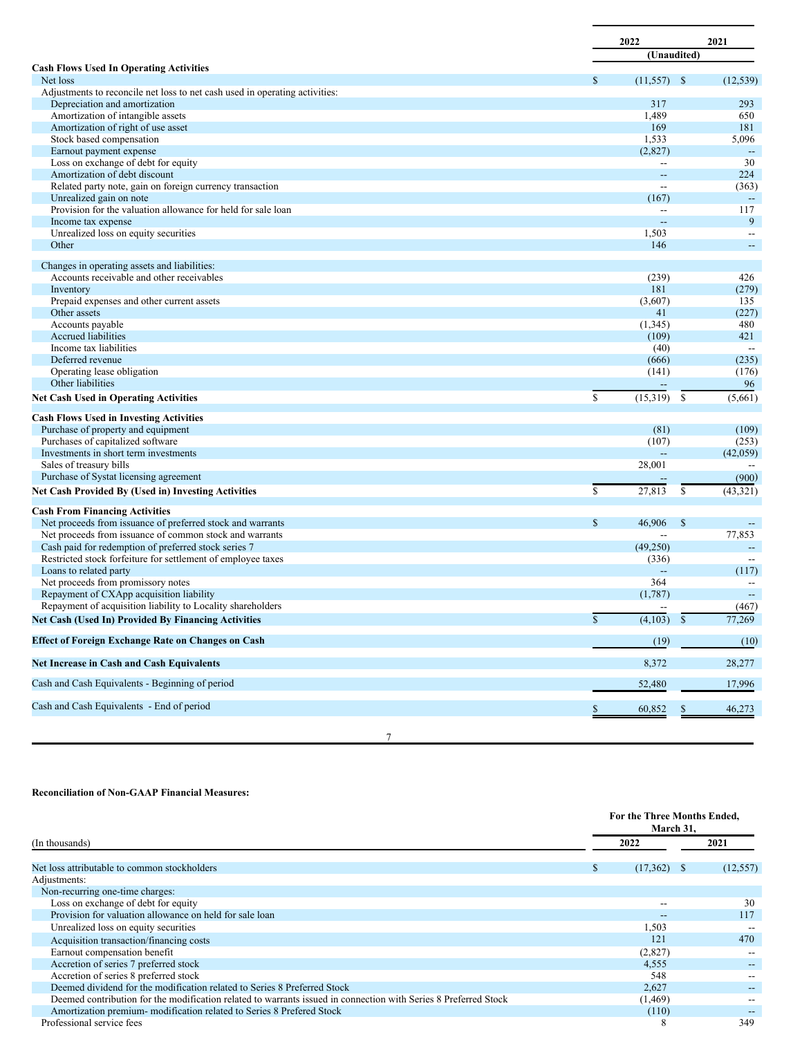|                                                                             | 2022                     | 2021                                     |
|-----------------------------------------------------------------------------|--------------------------|------------------------------------------|
|                                                                             |                          | (Unaudited)                              |
| <b>Cash Flows Used In Operating Activities</b>                              |                          |                                          |
| Net loss                                                                    | $(11,557)$ \$<br>\$      | (12, 539)                                |
| Adjustments to reconcile net loss to net cash used in operating activities: |                          |                                          |
| Depreciation and amortization                                               | 317                      | 293                                      |
| Amortization of intangible assets                                           | 1,489                    | 650                                      |
| Amortization of right of use asset                                          | 169                      | 181                                      |
| Stock based compensation                                                    | 1,533                    | 5,096                                    |
| Earnout payment expense                                                     | (2,827)                  | $\overline{\phantom{a}}$                 |
| Loss on exchange of debt for equity                                         | $- -$                    | 30                                       |
| Amortization of debt discount                                               | $\qquad \qquad -$        | 224                                      |
| Related party note, gain on foreign currency transaction                    | $\overline{\phantom{a}}$ | (363)                                    |
| Unrealized gain on note                                                     | (167)                    | $\overline{\phantom{a}}$                 |
| Provision for the valuation allowance for held for sale loan                | $\overline{\phantom{a}}$ | 117                                      |
| Income tax expense                                                          | $\sim$                   | 9                                        |
| Unrealized loss on equity securities<br>Other                               | 1,503<br>146             | $\hspace{0.05cm}$ – $\hspace{0.05cm}$    |
|                                                                             |                          | $\overline{\phantom{a}}$                 |
| Changes in operating assets and liabilities:                                |                          |                                          |
| Accounts receivable and other receivables                                   | (239)                    | 426                                      |
| Inventory                                                                   | 181                      | (279)                                    |
| Prepaid expenses and other current assets                                   | (3,607)                  | 135                                      |
| Other assets                                                                | 41                       | (227)                                    |
| Accounts payable                                                            | (1,345)                  | 480                                      |
| <b>Accrued liabilities</b>                                                  | (109)                    | 421                                      |
| Income tax liabilities                                                      | (40)                     | $\overline{\phantom{a}}$                 |
| Deferred revenue                                                            | (666)                    | (235)                                    |
| Operating lease obligation                                                  | (141)                    | (176)                                    |
| Other liabilities                                                           |                          | 96                                       |
| <b>Net Cash Used in Operating Activities</b>                                | $\mathbb{S}$<br>(15,319) | <sup>\$</sup><br>(5,661)                 |
| <b>Cash Flows Used in Investing Activities</b>                              |                          |                                          |
| Purchase of property and equipment                                          | (81)                     | (109)                                    |
| Purchases of capitalized software                                           | (107)                    | (253)                                    |
| Investments in short term investments                                       | $\perp$                  | (42,059)                                 |
| Sales of treasury bills                                                     | 28,001                   |                                          |
| Purchase of Systat licensing agreement                                      |                          | (900)                                    |
| Net Cash Provided By (Used in) Investing Activities                         | $\mathbb{S}$<br>27,813   | \$<br>(43, 321)                          |
|                                                                             |                          |                                          |
| <b>Cash From Financing Activities</b>                                       |                          |                                          |
| Net proceeds from issuance of preferred stock and warrants                  | $\mathbb{S}$<br>46.906   | $\mathbb{S}$<br>$\overline{\phantom{a}}$ |
| Net proceeds from issuance of common stock and warrants                     | $-$                      | 77,853                                   |
| Cash paid for redemption of preferred stock series 7                        | (49,250)                 | $\overline{\phantom{a}}$                 |
| Restricted stock forfeiture for settlement of employee taxes                | (336)                    | $\overline{\phantom{a}}$                 |
| Loans to related party                                                      | $\overline{\phantom{a}}$ | (117)                                    |
| Net proceeds from promissory notes                                          | 364                      | $\overline{\phantom{a}}$                 |
| Repayment of CXApp acquisition liability                                    | (1,787)                  |                                          |
| Repayment of acquisition liability to Locality shareholders                 | $\overline{\phantom{a}}$ | (467)                                    |
| Net Cash (Used In) Provided By Financing Activities                         | \$<br>$(4,103)$ \$       | 77,269                                   |
| <b>Effect of Foreign Exchange Rate on Changes on Cash</b>                   | (19)                     | (10)                                     |
| Net Increase in Cash and Cash Equivalents                                   | 8,372                    | 28,277                                   |
|                                                                             | 52,480                   | 17,996                                   |
| Cash and Cash Equivalents - Beginning of period                             |                          |                                          |

# **Reconciliation of Non-GAAP Financial Measures:**

|                                                                                                                 |    | For the Three Months Ended,<br>March 31, |           |  |  |  |
|-----------------------------------------------------------------------------------------------------------------|----|------------------------------------------|-----------|--|--|--|
| (In thousands)                                                                                                  |    | 2022                                     | 2021      |  |  |  |
| Net loss attributable to common stockholders                                                                    | S. | $(17,362)$ \$                            | (12, 557) |  |  |  |
| Adjustments:                                                                                                    |    |                                          |           |  |  |  |
| Non-recurring one-time charges:                                                                                 |    |                                          |           |  |  |  |
| Loss on exchange of debt for equity                                                                             |    |                                          | 30        |  |  |  |
| Provision for valuation allowance on held for sale loan                                                         |    |                                          | 117       |  |  |  |
| Unrealized loss on equity securities                                                                            |    | 1,503                                    |           |  |  |  |
| Acquisition transaction/financing costs                                                                         |    | 121                                      | 470       |  |  |  |
| Earnout compensation benefit                                                                                    |    | (2,827)                                  |           |  |  |  |
| Accretion of series 7 preferred stock                                                                           |    | 4,555                                    |           |  |  |  |
| Accretion of series 8 preferred stock                                                                           |    | 548                                      |           |  |  |  |
| Deemed dividend for the modification related to Series 8 Preferred Stock                                        |    | 2,627                                    |           |  |  |  |
| Deemed contribution for the modification related to warrants issued in connection with Series 8 Preferred Stock |    | (1, 469)                                 |           |  |  |  |
| Amortization premium-modification related to Series 8 Prefered Stock                                            |    | (110)                                    |           |  |  |  |
| Professional service fees                                                                                       |    | 8                                        | 349       |  |  |  |